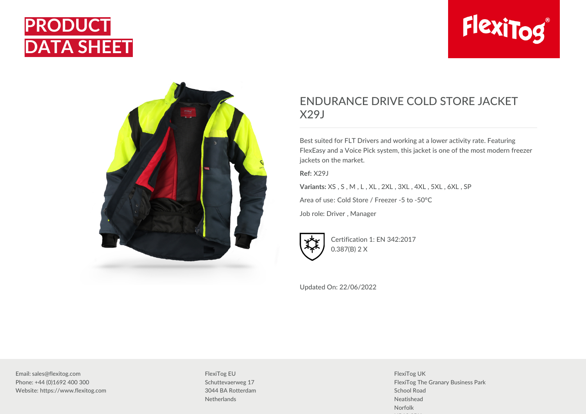





## ENDURANCE DRIVE COLD STORE JACKET X29J

Best suited for FLT Drivers and working at a lower activity rate. Featuring FlexEasy and a Voice Pick system, this jacket is one of the most modern freezer jackets on the market.

**Ref:** X29J

**Variants:** XS , S , M , L , XL , 2XL , 3XL , 4XL , 5XL , 6XL , SP

Area of use: Cold Store / Freezer -5 to -50°C

Job role: Driver , Manager



Certification 1: EN 342:2017 0.387(B) 2 X

Updated On: 22/06/2022

Email: sales@flexitog.com Phone: +44 (0)1692 400 300 Website: https://www.flexitog.com FlexiTog EU Schuttevaerweg 17 3044 BA Rotterdam **Netherlands** 

FlexiTog UK FlexiTog The Granary Business Park School Road Neatishead Norfolk